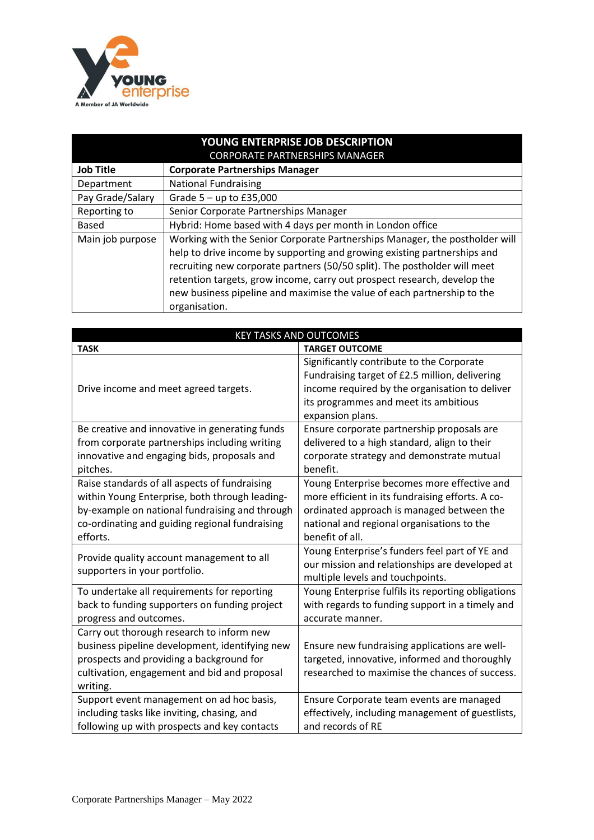

| YOUNG ENTERPRISE JOB DESCRIPTION<br><b>CORPORATE PARTNERSHIPS MANAGER</b> |                                                                                                                                                                                                                                                                                                                                                                                                              |  |
|---------------------------------------------------------------------------|--------------------------------------------------------------------------------------------------------------------------------------------------------------------------------------------------------------------------------------------------------------------------------------------------------------------------------------------------------------------------------------------------------------|--|
| <b>Job Title</b>                                                          | <b>Corporate Partnerships Manager</b>                                                                                                                                                                                                                                                                                                                                                                        |  |
| Department                                                                | <b>National Fundraising</b>                                                                                                                                                                                                                                                                                                                                                                                  |  |
| Pay Grade/Salary                                                          | Grade $5 - up$ to £35,000                                                                                                                                                                                                                                                                                                                                                                                    |  |
| Reporting to                                                              | Senior Corporate Partnerships Manager                                                                                                                                                                                                                                                                                                                                                                        |  |
| Based                                                                     | Hybrid: Home based with 4 days per month in London office                                                                                                                                                                                                                                                                                                                                                    |  |
| Main job purpose                                                          | Working with the Senior Corporate Partnerships Manager, the postholder will<br>help to drive income by supporting and growing existing partnerships and<br>recruiting new corporate partners (50/50 split). The postholder will meet<br>retention targets, grow income, carry out prospect research, develop the<br>new business pipeline and maximise the value of each partnership to the<br>organisation. |  |

| <b>KEY TASKS AND OUTCOMES</b>                                                                                                                                                                                   |                                                                                                                                                                                                               |  |  |
|-----------------------------------------------------------------------------------------------------------------------------------------------------------------------------------------------------------------|---------------------------------------------------------------------------------------------------------------------------------------------------------------------------------------------------------------|--|--|
| <b>TASK</b>                                                                                                                                                                                                     | <b>TARGET OUTCOME</b>                                                                                                                                                                                         |  |  |
| Drive income and meet agreed targets.                                                                                                                                                                           | Significantly contribute to the Corporate<br>Fundraising target of £2.5 million, delivering<br>income required by the organisation to deliver<br>its programmes and meet its ambitious<br>expansion plans.    |  |  |
| Be creative and innovative in generating funds<br>from corporate partnerships including writing<br>innovative and engaging bids, proposals and<br>pitches.                                                      | Ensure corporate partnership proposals are<br>delivered to a high standard, align to their<br>corporate strategy and demonstrate mutual<br>benefit.                                                           |  |  |
| Raise standards of all aspects of fundraising<br>within Young Enterprise, both through leading-<br>by-example on national fundraising and through<br>co-ordinating and guiding regional fundraising<br>efforts. | Young Enterprise becomes more effective and<br>more efficient in its fundraising efforts. A co-<br>ordinated approach is managed between the<br>national and regional organisations to the<br>benefit of all. |  |  |
| Provide quality account management to all<br>supporters in your portfolio.                                                                                                                                      | Young Enterprise's funders feel part of YE and<br>our mission and relationships are developed at<br>multiple levels and touchpoints.                                                                          |  |  |
| To undertake all requirements for reporting<br>back to funding supporters on funding project<br>progress and outcomes.                                                                                          | Young Enterprise fulfils its reporting obligations<br>with regards to funding support in a timely and<br>accurate manner.                                                                                     |  |  |
| Carry out thorough research to inform new<br>business pipeline development, identifying new<br>prospects and providing a background for<br>cultivation, engagement and bid and proposal<br>writing.             | Ensure new fundraising applications are well-<br>targeted, innovative, informed and thoroughly<br>researched to maximise the chances of success.                                                              |  |  |
| Support event management on ad hoc basis,<br>including tasks like inviting, chasing, and<br>following up with prospects and key contacts                                                                        | Ensure Corporate team events are managed<br>effectively, including management of guestlists,<br>and records of RE                                                                                             |  |  |